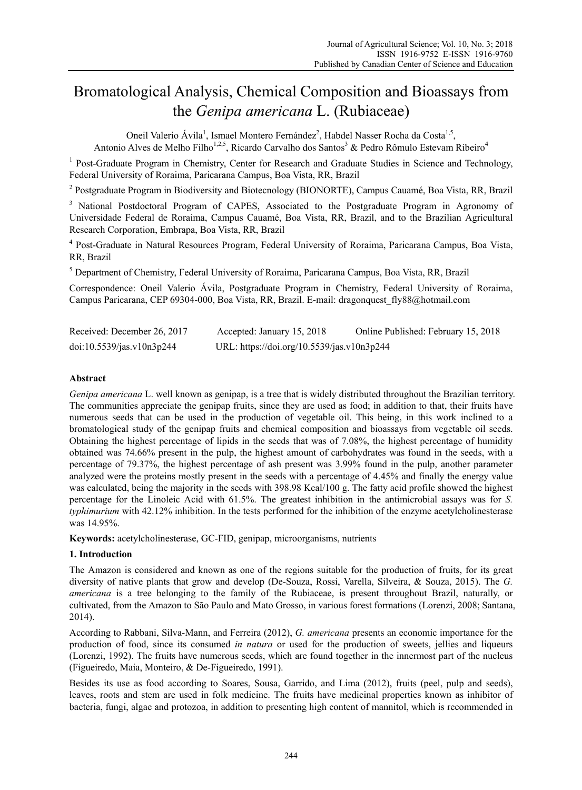# Bromatological Analysis, Chemical Composition and Bioassays from the *Genipa americana* L. (Rubiaceae)

Oneil Valerio Ávila<sup>1</sup>, Ismael Montero Fernández<sup>2</sup>, Habdel Nasser Rocha da Costa<sup>1,5</sup>, Antonio Alves de Melho Filho<sup>1,2,5</sup>, Ricardo Carvalho dos Santos<sup>3</sup> & Pedro Rômulo Estevam Ribeiro<sup>4</sup>

<sup>1</sup> Post-Graduate Program in Chemistry, Center for Research and Graduate Studies in Science and Technology, Federal University of Roraima, Paricarana Campus, Boa Vista, RR, Brazil

<sup>2</sup> Postgraduate Program in Biodiversity and Biotecnology (BIONORTE), Campus Cauamé, Boa Vista, RR, Brazil

<sup>3</sup> National Postdoctoral Program of CAPES, Associated to the Postgraduate Program in Agronomy of Universidade Federal de Roraima, Campus Cauamé, Boa Vista, RR, Brazil, and to the Brazilian Agricultural Research Corporation, Embrapa, Boa Vista, RR, Brazil

<sup>4</sup> Post-Graduate in Natural Resources Program, Federal University of Roraima, Paricarana Campus, Boa Vista, RR, Brazil

<sup>5</sup> Department of Chemistry, Federal University of Roraima, Paricarana Campus, Boa Vista, RR, Brazil

Correspondence: Oneil Valerio Ávila, Postgraduate Program in Chemistry, Federal University of Roraima, Campus Paricarana, CEP 69304-000, Boa Vista, RR, Brazil. E-mail: dragonquest\_fly88@hotmail.com

| Received: December 26, 2017 | Online Published: February 15, 2018<br>Accepted: January 15, 2018 |  |  |  |
|-----------------------------|-------------------------------------------------------------------|--|--|--|
| doi:10.5539/jas.v10n3p244   | URL: https://doi.org/10.5539/jas.v10n3p244                        |  |  |  |

# **Abstract**

*Genipa americana* L. well known as genipap, is a tree that is widely distributed throughout the Brazilian territory. The communities appreciate the genipap fruits, since they are used as food; in addition to that, their fruits have numerous seeds that can be used in the production of vegetable oil. This being, in this work inclined to a bromatological study of the genipap fruits and chemical composition and bioassays from vegetable oil seeds. Obtaining the highest percentage of lipids in the seeds that was of 7.08%, the highest percentage of humidity obtained was 74.66% present in the pulp, the highest amount of carbohydrates was found in the seeds, with a percentage of 79.37%, the highest percentage of ash present was 3.99% found in the pulp, another parameter analyzed were the proteins mostly present in the seeds with a percentage of 4.45% and finally the energy value was calculated, being the majority in the seeds with 398.98 Kcal/100 g. The fatty acid profile showed the highest percentage for the Linoleic Acid with 61.5%. The greatest inhibition in the antimicrobial assays was for *S. typhimurium* with 42.12% inhibition. In the tests performed for the inhibition of the enzyme acetylcholinesterase was 14.95%.

**Keywords:** acetylcholinesterase, GC-FID, genipap, microorganisms, nutrients

#### **1. Introduction**

The Amazon is considered and known as one of the regions suitable for the production of fruits, for its great diversity of native plants that grow and develop (De-Souza, Rossi, Varella, Silveira, & Souza, 2015). The *G. americana* is a tree belonging to the family of the Rubiaceae, is present throughout Brazil, naturally, or cultivated, from the Amazon to São Paulo and Mato Grosso, in various forest formations (Lorenzi, 2008; Santana, 2014).

According to Rabbani, Silva-Mann, and Ferreira (2012), *G. americana* presents an economic importance for the production of food, since its consumed *in natura* or used for the production of sweets, jellies and liqueurs (Lorenzi, 1992). The fruits have numerous seeds, which are found together in the innermost part of the nucleus (Figueiredo, Maia, Monteiro, & De-Figueiredo, 1991).

Besides its use as food according to Soares, Sousa, Garrido, and Lima (2012), fruits (peel, pulp and seeds), leaves, roots and stem are used in folk medicine. The fruits have medicinal properties known as inhibitor of bacteria, fungi, algae and protozoa, in addition to presenting high content of mannitol, which is recommended in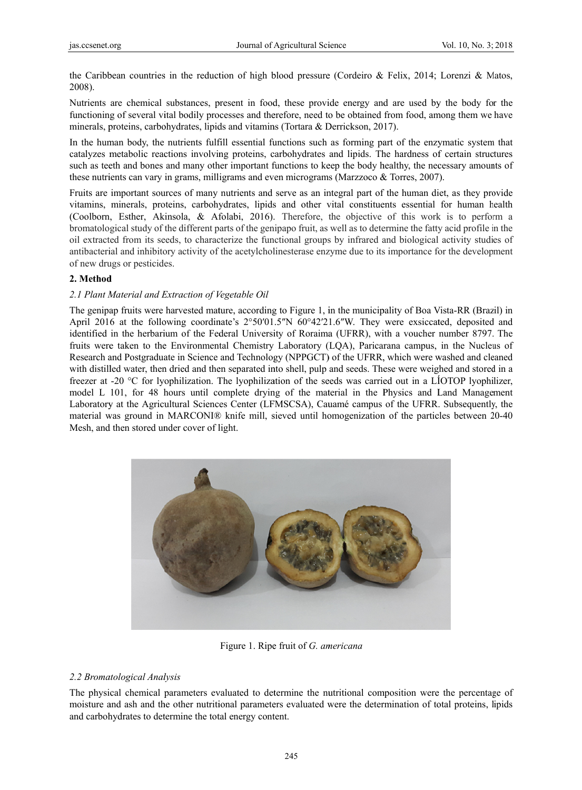the Caribbean countries in the reduction of high blood pressure (Cordeiro & Felix, 2014; Lorenzi & Matos, 2008).

Nutrients are chemical substances, present in food, these provide energy and are used by the body for the functioning of several vital bodily processes and therefore, need to be obtained from food, among them we have minerals, proteins, carbohydrates, lipids and vitamins (Tortara & Derrickson, 2017).

In the human body, the nutrients fulfill essential functions such as forming part of the enzymatic system that catalyzes metabolic reactions involving proteins, carbohydrates and lipids. The hardness of certain structures such as teeth and bones and many other important functions to keep the body healthy, the necessary amounts of these nutrients can vary in grams, milligrams and even micrograms (Marzzoco  $&$  Torres, 2007).

Fruits are important sources of many nutrients and serve as an integral part of the human diet, as they provide vitamins, minerals, proteins, carbohydrates, lipids and other vital constituents essential for human health (Coolborn, Esther, Akinsola, & Afolabi, 2016). Therefore, the objective of this work is to perform a bromatological study of the different parts of the genipapo fruit, as well as to determine the fatty acid profile in the oil extracted from its seeds, to characterize the functional groups by infrared and biological activity studies of antibacterial and inhibitory activity of the acetylcholinesterase enzyme due to its importance for the development of new drugs or pesticides.

# **2. Method d**

# 2.1 Plant Material and Extraction of Vegetable Oil

The genipap fruits were harvested mature, according to Figure 1, in the municipality of Boa Vista-RR (Brazil) in April 2016 at the following coordinate's  $2^{\circ}50'01.5''N$  60°42′21.6″W. They were exsiccated, deposited and identified in the herbarium of the Federal University of Roraima (UFRR), with a voucher number 8797. The fruits were taken to the Environmental Chemistry Laboratory (LQA), Paricarana campus, in the Nucleus of Research and Postgraduate in Science and Technology (NPPGCT) of the UFRR, which were washed and cleaned with distilled water, then dried and then separated into shell, pulp and seeds. These were weighed and stored in a freezer at -20  $^{\circ}$ C for lyophilization. The lyophilization of the seeds was carried out in a LIOTOP lyophilizer, model L 101, for 48 hours until complete drying of the material in the Physics and Land Management Laboratory at the Agricultural Sciences Center (LFMSCSA), Cauamé campus of the UFRR. Subsequently, the material was ground in MARCONI® knife mill, sieved until homogenization of the particles between 20-40 Mesh, and then stored under cover of light.



Figure 1. Ripe fruit of *G. americana* 

## 2.2 Bromatological Analysis

The physical chemical parameters evaluated to determine the nutritional composition were the percentage of moisture and ash and the other nutritional parameters evaluated were the determination of total proteins, lipids and carbohydrates to determine the total energy content.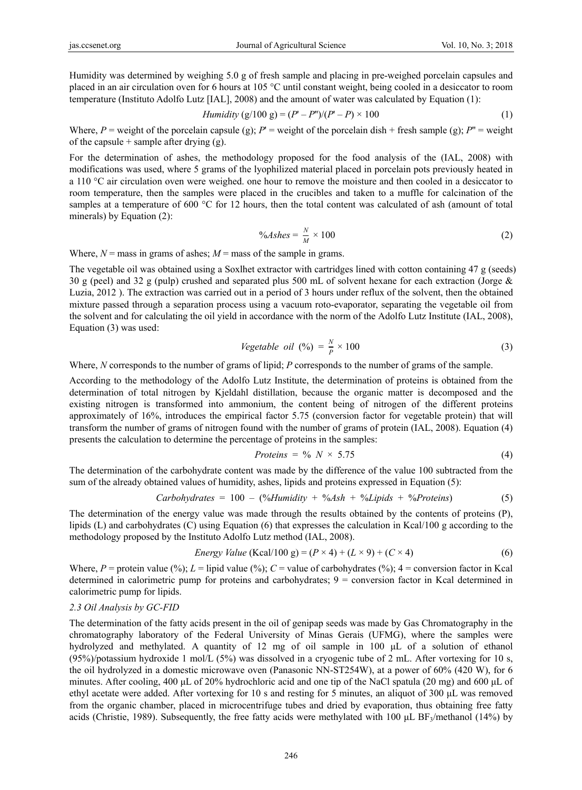Humidity was determined by weighing 5.0 g of fresh sample and placing in pre-weighed porcelain capsules and placed in an air circulation oven for 6 hours at 105 °C until constant weight, being cooled in a desiccator to room temperature (Instituto Adolfo Lutz [IAL], 2008) and the amount of water was calculated by Equation (1):

*Humidity* (g/100 g) = 
$$
(P' - P'')/(P' - P) \times 100
$$
 (1)

Where,  $P$  = weight of the porcelain capsule (g);  $P'$  = weight of the porcelain dish + fresh sample (g);  $P''$  = weight of the capsule + sample after drying  $(g)$ .

For the determination of ashes, the methodology proposed for the food analysis of the (IAL, 2008) with modifications was used, where 5 grams of the lyophilized material placed in porcelain pots previously heated in a 110 °C air circulation oven were weighed. one hour to remove the moisture and then cooled in a desiccator to room temperature, then the samples were placed in the crucibles and taken to a muffle for calcination of the samples at a temperature of 600 °C for 12 hours, then the total content was calculated of ash (amount of total minerals) by Equation (2):

$$
\%Ashes = \frac{N}{M} \times 100\tag{2}
$$

Where,  $N =$  mass in grams of ashes;  $M =$  mass of the sample in grams.

The vegetable oil was obtained using a Soxlhet extractor with cartridges lined with cotton containing 47 g (seeds) 30 g (peel) and 32 g (pulp) crushed and separated plus 500 mL of solvent hexane for each extraction (Jorge & Luzia, 2012 ). The extraction was carried out in a period of 3 hours under reflux of the solvent, then the obtained mixture passed through a separation process using a vacuum roto-evaporator, separating the vegetable oil from the solvent and for calculating the oil yield in accordance with the norm of the Adolfo Lutz Institute (IAL, 2008), Equation (3) was used:

Vegetable oil (%) = 
$$
\frac{N}{P} \times 100
$$
 (3)

Where, *N* corresponds to the number of grams of lipid; *P* corresponds to the number of grams of the sample.

According to the methodology of the Adolfo Lutz Institute, the determination of proteins is obtained from the determination of total nitrogen by Kjeldahl distillation, because the organic matter is decomposed and the existing nitrogen is transformed into ammonium, the content being of nitrogen of the different proteins approximately of 16%, introduces the empirical factor 5.75 (conversion factor for vegetable protein) that will transform the number of grams of nitrogen found with the number of grams of protein (IAL, 2008). Equation (4) presents the calculation to determine the percentage of proteins in the samples:

$$
Proteins = \frac{9}{6} N \times 5.75 \tag{4}
$$

The determination of the carbohydrate content was made by the difference of the value 100 subtracted from the sum of the already obtained values of humidity, ashes, lipids and proteins expressed in Equation (5):

$$
Carbohydrates = 100 - (\% Humidity + \% Ash + \% Lipids + \% Proteins)
$$
 (5)

The determination of the energy value was made through the results obtained by the contents of proteins (P), lipids (L) and carbohydrates (C) using Equation (6) that expresses the calculation in Kcal/100 g according to the methodology proposed by the Instituto Adolfo Lutz method (IAL, 2008).

Energy Value (Kcal/100 g) = 
$$
(P \times 4) + (L \times 9) + (C \times 4)
$$
 (6)

Where,  $P =$  protein value (%);  $L =$  lipid value (%);  $C =$  value of carbohydrates (%);  $4 =$  conversion factor in Kcal determined in calorimetric pump for proteins and carbohydrates; 9 = conversion factor in Kcal determined in calorimetric pump for lipids.

#### *2.3 Oil Analysis by GC-FID*

The determination of the fatty acids present in the oil of genipap seeds was made by Gas Chromatography in the chromatography laboratory of the Federal University of Minas Gerais (UFMG), where the samples were hydrolyzed and methylated. A quantity of 12 mg of oil sample in 100 μL of a solution of ethanol (95%)/potassium hydroxide 1 mol/L (5%) was dissolved in a cryogenic tube of 2 mL. After vortexing for 10 s, the oil hydrolyzed in a domestic microwave oven (Panasonic NN-ST254W), at a power of 60% (420 W), for 6 minutes. After cooling, 400 μL of 20% hydrochloric acid and one tip of the NaCl spatula (20 mg) and 600 μL of ethyl acetate were added. After vortexing for 10 s and resting for 5 minutes, an aliquot of 300 μL was removed from the organic chamber, placed in microcentrifuge tubes and dried by evaporation, thus obtaining free fatty acids (Christie, 1989). Subsequently, the free fatty acids were methylated with 100  $\mu$ L BF<sub>3</sub>/methanol (14%) by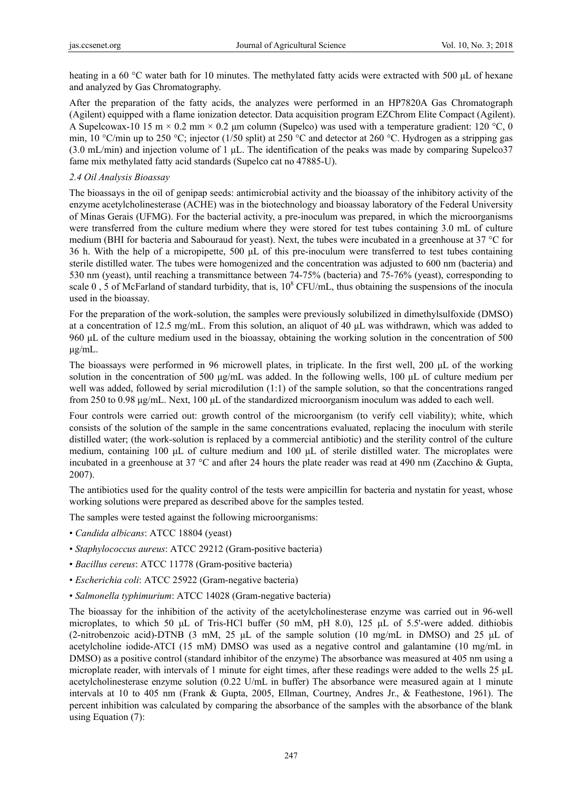heating in a 60 °C water bath for 10 minutes. The methylated fatty acids were extracted with 500 μL of hexane and analyzed by Gas Chromatography.

After the preparation of the fatty acids, the analyzes were performed in an HP7820A Gas Chromatograph (Agilent) equipped with a flame ionization detector. Data acquisition program EZChrom Elite Compact (Agilent). A Supelcowax-10 15 m  $\times$  0.2 mm  $\times$  0.2  $\mu$ m column (Supelco) was used with a temperature gradient: 120 °C, 0 min, 10 °C/min up to 250 °C; injector (1/50 split) at 250 °C and detector at 260 °C. Hydrogen as a stripping gas (3.0 mL/min) and injection volume of 1 μL. The identification of the peaks was made by comparing Supelco37 fame mix methylated fatty acid standards (Supelco cat no 47885-U).

# *2.4 Oil Analysis Bioassay*

The bioassays in the oil of genipap seeds: antimicrobial activity and the bioassay of the inhibitory activity of the enzyme acetylcholinesterase (ACHE) was in the biotechnology and bioassay laboratory of the Federal University of Minas Gerais (UFMG). For the bacterial activity, a pre-inoculum was prepared, in which the microorganisms were transferred from the culture medium where they were stored for test tubes containing 3.0 mL of culture medium (BHI for bacteria and Sabouraud for yeast). Next, the tubes were incubated in a greenhouse at 37 °C for 36 h. With the help of a micropipette, 500 μL of this pre-inoculum were transferred to test tubes containing sterile distilled water. The tubes were homogenized and the concentration was adjusted to 600 nm (bacteria) and 530 nm (yeast), until reaching a transmittance between 74-75% (bacteria) and 75-76% (yeast), corresponding to scale 0, 5 of McFarland of standard turbidity, that is,  $10^8$  CFU/mL, thus obtaining the suspensions of the inocula used in the bioassay.

For the preparation of the work-solution, the samples were previously solubilized in dimethylsulfoxide (DMSO) at a concentration of 12.5 mg/mL. From this solution, an aliquot of 40 μL was withdrawn, which was added to 960 μL of the culture medium used in the bioassay, obtaining the working solution in the concentration of 500 μg/mL.

The bioassays were performed in 96 microwell plates, in triplicate. In the first well, 200 μL of the working solution in the concentration of 500 μg/mL was added. In the following wells, 100 μL of culture medium per well was added, followed by serial microdilution (1:1) of the sample solution, so that the concentrations ranged from 250 to 0.98 μg/mL. Next, 100 μL of the standardized microorganism inoculum was added to each well.

Four controls were carried out: growth control of the microorganism (to verify cell viability); white, which consists of the solution of the sample in the same concentrations evaluated, replacing the inoculum with sterile distilled water; (the work-solution is replaced by a commercial antibiotic) and the sterility control of the culture medium, containing 100 μL of culture medium and 100 μL of sterile distilled water. The microplates were incubated in a greenhouse at 37 °C and after 24 hours the plate reader was read at 490 nm (Zacchino & Gupta, 2007).

The antibiotics used for the quality control of the tests were ampicillin for bacteria and nystatin for yeast, whose working solutions were prepared as described above for the samples tested.

The samples were tested against the following microorganisms:

- *Candida albicans*: ATCC 18804 (yeast)
- *Staphylococcus aureus*: ATCC 29212 (Gram-positive bacteria)
- *Bacillus cereus*: ATCC 11778 (Gram-positive bacteria)
- *Escherichia coli*: ATCC 25922 (Gram-negative bacteria)
- *Salmonella typhimurium*: ATCC 14028 (Gram-negative bacteria)

The bioassay for the inhibition of the activity of the acetylcholinesterase enzyme was carried out in 96-well microplates, to which 50 μL of Tris-HCl buffer (50 mM, pH 8.0), 125 μL of 5.5'-were added. dithiobis (2-nitrobenzoic acid)-DTNB (3 mM, 25 μL of the sample solution (10 mg/mL in DMSO) and 25 μL of acetylcholine iodide-ATCI (15 mM) DMSO was used as a negative control and galantamine (10 mg/mL in DMSO) as a positive control (standard inhibitor of the enzyme) The absorbance was measured at 405 nm using a microplate reader, with intervals of 1 minute for eight times, after these readings were added to the wells 25 μL acetylcholinesterase enzyme solution (0.22 U/mL in buffer) The absorbance were measured again at 1 minute intervals at 10 to 405 nm (Frank & Gupta, 2005, Ellman, Courtney, Andres Jr., & Feathestone, 1961). The percent inhibition was calculated by comparing the absorbance of the samples with the absorbance of the blank using Equation (7):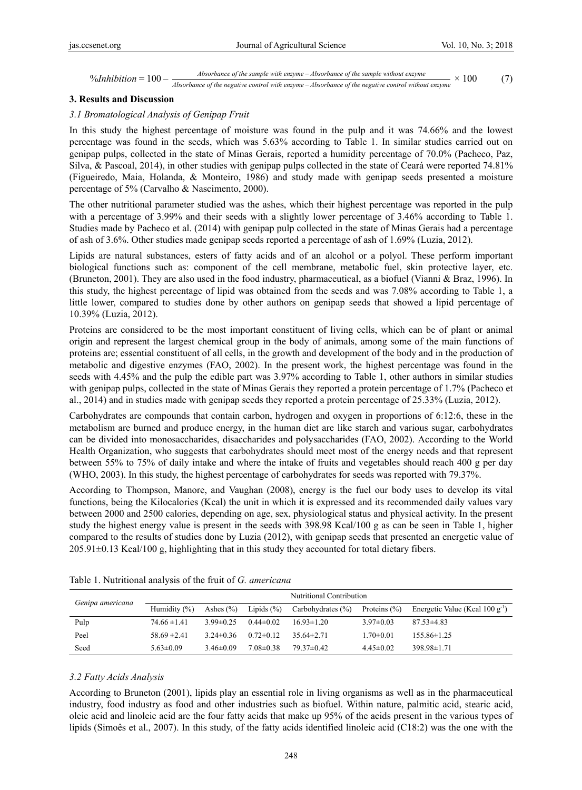%  $\gamma_0$ Inhibition = 100 -  $\frac{Absorbance}{Absorbance of the negative control with enzyme - Absorbance of the sample without enzyme} \times 100$  (7)

### **3. Results and Discussion**

# *3.1 Bromatological Analysis of Genipap Fruit*

In this study the highest percentage of moisture was found in the pulp and it was 74.66% and the lowest percentage was found in the seeds, which was 5.63% according to Table 1. In similar studies carried out on genipap pulps, collected in the state of Minas Gerais, reported a humidity percentage of 70.0% (Pacheco, Paz, Silva, & Pascoal, 2014), in other studies with genipap pulps collected in the state of Ceará were reported 74.81% (Figueiredo, Maia, Holanda, & Monteiro, 1986) and study made with genipap seeds presented a moisture percentage of 5% (Carvalho & Nascimento, 2000).

The other nutritional parameter studied was the ashes, which their highest percentage was reported in the pulp with a percentage of 3.99% and their seeds with a slightly lower percentage of 3.46% according to Table 1. Studies made by Pacheco et al. (2014) with genipap pulp collected in the state of Minas Gerais had a percentage of ash of 3.6%. Other studies made genipap seeds reported a percentage of ash of 1.69% (Luzia, 2012).

Lipids are natural substances, esters of fatty acids and of an alcohol or a polyol. These perform important biological functions such as: component of the cell membrane, metabolic fuel, skin protective layer, etc. (Bruneton, 2001). They are also used in the food industry, pharmaceutical, as a biofuel (Vianni & Braz, 1996). In this study, the highest percentage of lipid was obtained from the seeds and was 7.08% according to Table 1, a little lower, compared to studies done by other authors on genipap seeds that showed a lipid percentage of 10.39% (Luzia, 2012).

Proteins are considered to be the most important constituent of living cells, which can be of plant or animal origin and represent the largest chemical group in the body of animals, among some of the main functions of proteins are; essential constituent of all cells, in the growth and development of the body and in the production of metabolic and digestive enzymes (FAO, 2002). In the present work, the highest percentage was found in the seeds with 4.45% and the pulp the edible part was 3.97% according to Table 1, other authors in similar studies with genipap pulps, collected in the state of Minas Gerais they reported a protein percentage of 1.7% (Pacheco et al., 2014) and in studies made with genipap seeds they reported a protein percentage of 25.33% (Luzia, 2012).

Carbohydrates are compounds that contain carbon, hydrogen and oxygen in proportions of 6:12:6, these in the metabolism are burned and produce energy, in the human diet are like starch and various sugar, carbohydrates can be divided into monosaccharides, disaccharides and polysaccharides (FAO, 2002). According to the World Health Organization, who suggests that carbohydrates should meet most of the energy needs and that represent between 55% to 75% of daily intake and where the intake of fruits and vegetables should reach 400 g per day (WHO, 2003). In this study, the highest percentage of carbohydrates for seeds was reported with 79.37%.

According to Thompson, Manore, and Vaughan (2008), energy is the fuel our body uses to develop its vital functions, being the Kilocalories (Kcal) the unit in which it is expressed and its recommended daily values vary between 2000 and 2500 calories, depending on age, sex, physiological status and physical activity. In the present study the highest energy value is present in the seeds with 398.98 Kcal/100 g as can be seen in Table 1, higher compared to the results of studies done by Luzia (2012), with genipap seeds that presented an energetic value of 205.91±0.13 Kcal/100 g, highlighting that in this study they accounted for total dietary fibers.

|                  |                  |                 |                 | Nutritional Contribution |                  |                                              |
|------------------|------------------|-----------------|-----------------|--------------------------|------------------|----------------------------------------------|
| Genipa americana | Humidity $(\%)$  | Ashes $(\% )$   | Lipids $(\% )$  | Carbohydrates $(\% )$    | Proteins $(\% )$ | Energetic Value (Kcal $100 \text{ g}^{-1}$ ) |
| Pulp             | $74.66 \pm 1.41$ | $3.99 \pm 0.25$ | $0.44\pm 0.02$  | $16.93 \pm 1.20$         | $3.97 \pm 0.03$  | $87.53\pm4.83$                               |
| Peel             | $58.69 \pm 2.41$ | $3.24\pm 0.36$  | $0.72\pm 0.12$  | $35.64\pm2.71$           | $1.70 \pm 0.01$  | $155.86\pm1.25$                              |
| Seed             | $5.63 \pm 0.09$  | $3.46\pm0.09$   | $7.08 \pm 0.38$ | $79.37\pm0.42$           | $4.45\pm0.02$    | 398.98±1.71                                  |

Table 1. Nutritional analysis of the fruit of *G. americana*

#### *3.2 Fatty Acids Analysis*

According to Bruneton (2001), lipids play an essential role in living organisms as well as in the pharmaceutical industry, food industry as food and other industries such as biofuel. Within nature, palmitic acid, stearic acid, oleic acid and linoleic acid are the four fatty acids that make up 95% of the acids present in the various types of lipids (Simoês et al., 2007). In this study, of the fatty acids identified linoleic acid (C18:2) was the one with the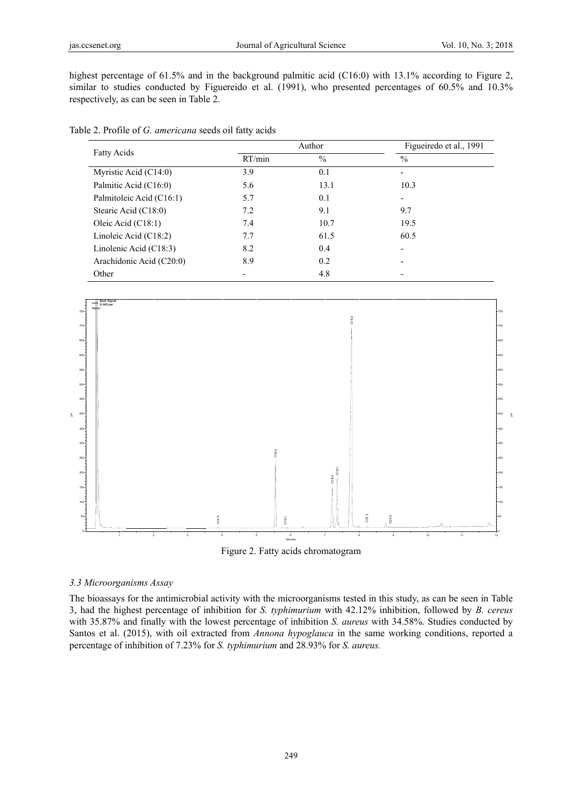highest percentage of 61.5% and in the background palmitic acid (C16:0) with 13.1% according to Figure 2, similar to studies conducted by Figuereido et al. (1991), who presented percentages of 60.5% and 10.3% respectively, as can be seen in Table 2.

|                          |        | Author        | Figueiredo et al., 1991  |
|--------------------------|--------|---------------|--------------------------|
| <b>Fatty Acids</b>       | RT/min | $\frac{0}{0}$ | $\frac{0}{0}$            |
| Myristic Acid (C14:0)    | 3.9    | 0.1           |                          |
| Palmitic Acid (C16:0)    | 5.6    | 13.1          | 10.3                     |
| Palmitoleic Acid (C16:1) | 5.7    | 0.1           | $\overline{\phantom{a}}$ |
| Stearic Acid (C18:0)     | 7.2    | 9.1           | 9.7                      |
| Oleic Acid $(C18.1)$     | 7.4    | 10.7          | 19.5                     |
| Linoleic Acid (C18:2)    | 7.7    | 61.5          | 60.5                     |
| Linolenic Acid (C18:3)   | 8.2    | 0.4           |                          |
| Arachidonic Acid (C20:0) | 8.9    | 0.2           |                          |
| Other                    |        | 4.8           |                          |

| Table 2. Profile of G. americana seeds oil fatty acids |
|--------------------------------------------------------|
|--------------------------------------------------------|





# *3.3 Microorganisms Assay*

The bioassays for the antimicrobial activity with the microorganisms tested in this study, as can be seen in Table 3, had the highest percentage of inhibition for *S. typhimurium* with 42.12% inhibition, followed by *B. cereus*  with 35.87% and finally with the lowest percentage of inhibition *S. aureus* with 34.58%. Studies conducted by Santos et al. (2015), with oil extracted from *Annona hypoglauca* in the same working conditions, reported a percentage of inhibition of 7.23% for *S. typhimurium* and 28.93% for *S. aureus.*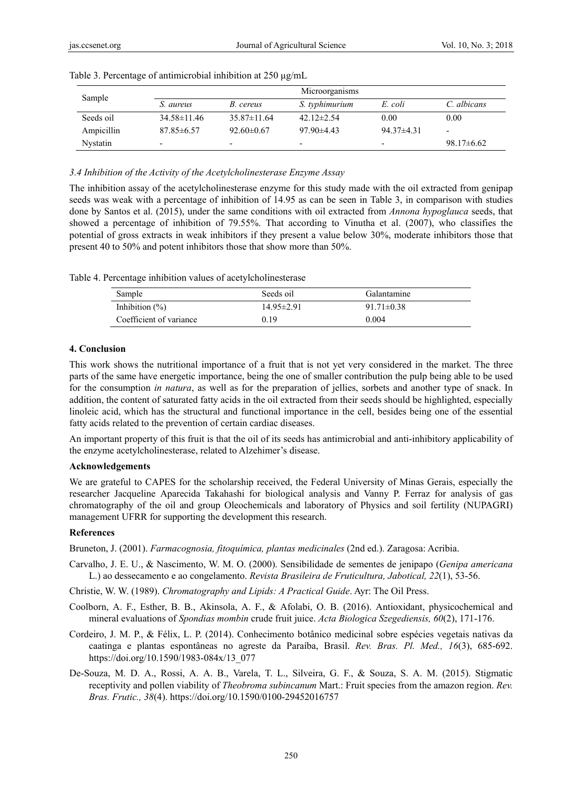| Sample          |                   |                          | Microorganisms           |                          |                 |
|-----------------|-------------------|--------------------------|--------------------------|--------------------------|-----------------|
|                 | S. aureus         | B. cereus                | S. typhimurium           | E. coli                  | C. albicans     |
| Seeds oil       | $34.58 \pm 11.46$ | $35.87 \pm 11.64$        | 42.12 $\pm$ 2.54         | 0.00                     | 0.00            |
| Ampicillin      | $87.85\pm 6.57$   | $92.60 \pm 0.67$         | $97.90 \pm 4.43$         | $94.37\pm4.31$           | -               |
| <b>Nystatin</b> | -                 | $\overline{\phantom{0}}$ | $\overline{\phantom{0}}$ | $\overline{\phantom{0}}$ | $98.17\pm 6.62$ |

Table 3. Percentage of antimicrobial inhibition at 250 μg/mL

#### *3.4 Inhibition of the Activity of the Acetylcholinesterase Enzyme Assay*

The inhibition assay of the acetylcholinesterase enzyme for this study made with the oil extracted from genipap seeds was weak with a percentage of inhibition of 14.95 as can be seen in Table 3, in comparison with studies done by Santos et al. (2015), under the same conditions with oil extracted from *Annona hypoglauca* seeds, that showed a percentage of inhibition of 79.55%. That according to Vinutha et al. (2007), who classifies the potential of gross extracts in weak inhibitors if they present a value below 30%, moderate inhibitors those that present 40 to 50% and potent inhibitors those that show more than 50%.

|  | Table 4. Percentage inhibition values of acetylcholinesterase |  |  |  |  |
|--|---------------------------------------------------------------|--|--|--|--|
|--|---------------------------------------------------------------|--|--|--|--|

| Sample                  | Seeds oil        | Galantamine      |
|-------------------------|------------------|------------------|
| Inhibition $(\%)$       | $14.95 \pm 2.91$ | $91.71 \pm 0.38$ |
| Coefficient of variance | 0.19             | 0.004            |

# **4. Conclusion**

This work shows the nutritional importance of a fruit that is not yet very considered in the market. The three parts of the same have energetic importance, being the one of smaller contribution the pulp being able to be used for the consumption *in natura*, as well as for the preparation of jellies, sorbets and another type of snack. In addition, the content of saturated fatty acids in the oil extracted from their seeds should be highlighted, especially linoleic acid, which has the structural and functional importance in the cell, besides being one of the essential fatty acids related to the prevention of certain cardiac diseases.

An important property of this fruit is that the oil of its seeds has antimicrobial and anti-inhibitory applicability of the enzyme acetylcholinesterase, related to Alzehimer's disease.

#### **Acknowledgements**

We are grateful to CAPES for the scholarship received, the Federal University of Minas Gerais, especially the researcher Jacqueline Aparecida Takahashi for biological analysis and Vanny P. Ferraz for analysis of gas chromatography of the oil and group Oleochemicals and laboratory of Physics and soil fertility (NUPAGRI) management UFRR for supporting the development this research.

#### **References**

Bruneton, J. (2001). *Farmacognosia, fitoquímica, plantas medicinales* (2nd ed.). Zaragosa: Acribia.

- Carvalho, J. E. U., & Nascimento, W. M. O. (2000). Sensibilidade de sementes de jenipapo (*Genipa americana* L.) ao dessecamento e ao congelamento. *Revista Brasileira de Fruticultura, Jabotical, 22*(1), 53-56.
- Christie, W. W. (1989). *Chromatography and Lipids: A Practical Guide*. Ayr: The Oil Press.
- Coolborn, A. F., Esther, B. B., Akinsola, A. F., & Afolabi, O. B. (2016). Antioxidant, physicochemical and mineral evaluations of *Spondias mombin* crude fruit juice. *Acta Biologica Szegediensis, 60*(2), 171-176.
- Cordeiro, J. M. P., & Félix, L. P. (2014). Conhecimento botânico medicinal sobre espécies vegetais nativas da caatinga e plantas espontâneas no agreste da Paraíba, Brasil. *Rev. Bras. Pl. Med., 16*(3), 685-692. https://doi.org/10.1590/1983-084x/13\_077
- De-Souza, M. D. A., Rossi, A. A. B., Varela, T. L., Silveira, G. F., & Souza, S. A. M. (2015). Stigmatic receptivity and pollen viability of *Theobroma subincanum* Mart.: Fruit species from the amazon region. *Rev. Bras. Frutic., 38*(4). https://doi.org/10.1590/0100-29452016757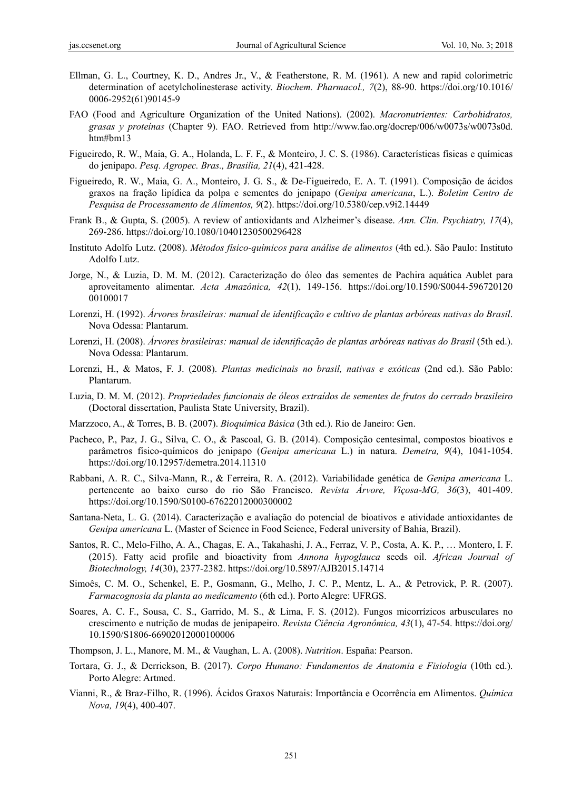- Ellman, G. L., Courtney, K. D., Andres Jr., V., & Featherstone, R. M. (1961). A new and rapid colorimetric determination of acetylcholinesterase activity. *Biochem. Pharmacol., 7*(2), 88-90. https://doi.org/10.1016/ 0006-2952(61)90145-9
- FAO (Food and Agriculture Organization of the United Nations). (2002). *Macronutrientes: Carbohidratos, grasas y proteínas* (Chapter 9). FAO. Retrieved from http://www.fao.org/docrep/006/w0073s/w0073s0d. htm#bm13
- Figueiredo, R. W., Maia, G. A., Holanda, L. F. F., & Monteiro, J. C. S. (1986). Características físicas e químicas do jenipapo. *Pesq. Agropec. Bras., Brasilia, 21*(4), 421-428.
- Figueiredo, R. W., Maia, G. A., Monteiro, J. G. S., & De-Figueiredo, E. A. T. (1991). Composição de ácidos graxos na fração lipídica da polpa e sementes do jenipapo (*Genipa americana*, L.). *Boletim Centro de Pesquisa de Processamento de Alimentos, 9*(2). https://doi.org/10.5380/cep.v9i2.14449
- Frank B., & Gupta, S. (2005). A review of antioxidants and Alzheimer's disease. *Ann. Clin. Psychiatry, 17*(4), 269-286. https://doi.org/10.1080/10401230500296428
- Instituto Adolfo Lutz. (2008). *Métodos físico-químicos para análise de alimentos* (4th ed.). São Paulo: Instituto Adolfo Lutz.
- Jorge, N., & Luzia, D. M. M. (2012). Caracterização do óleo das sementes de Pachira aquática Aublet para aproveitamento alimentar. *Acta Amazônica, 42*(1), 149-156. https://doi.org/10.1590/S0044-596720120 00100017
- Lorenzi, H. (1992). *Árvores brasileiras: manual de identificação e cultivo de plantas arbóreas nativas do Brasil*. Nova Odessa: Plantarum.
- Lorenzi, H. (2008). *Árvores brasileiras: manual de identificação de plantas arbóreas nativas do Brasil* (5th ed.). Nova Odessa: Plantarum.
- Lorenzi, H., & Matos, F. J. (2008). *Plantas medicinais no brasil, nativas e exóticas* (2nd ed.). São Pablo: Plantarum.
- Luzia, D. M. M. (2012). *Propriedades funcionais de óleos extraídos de sementes de frutos do cerrado brasileiro* (Doctoral dissertation, Paulista State University, Brazil).
- Marzzoco, A., & Torres, B. B. (2007). *Bioquímica Básica* (3th ed.). Rio de Janeiro: Gen.
- Pacheco, P., Paz, J. G., Silva, C. O., & Pascoal, G. B. (2014). Composição centesimal, compostos bioativos e parâmetros físico-químicos do jenipapo (*Genipa americana* L.) in natura. *Demetra, 9*(4), 1041-1054. https://doi.org/10.12957/demetra.2014.11310
- Rabbani, A. R. C., Silva-Mann, R., & Ferreira, R. A. (2012). Variabilidade genética de *Genipa americana* L. pertencente ao baixo curso do rio São Francisco. *Revista Árvore, Viçosa-MG, 36*(3), 401-409. https://doi.org/10.1590/S0100-67622012000300002
- Santana-Neta, L. G. (2014). Caracterização e avaliação do potencial de bioativos e atividade antioxidantes de *Genipa americana* L. (Master of Science in Food Science, Federal university of Bahia, Brazil).
- Santos, R. C., Melo-Filho, A. A., Chagas, E. A., Takahashi, J. A., Ferraz, V. P., Costa, A. K. P., … Montero, I. F. (2015). Fatty acid profile and bioactivity from *Annona hypoglauca* seeds oil. *African Journal of Biotechnology, 14*(30), 2377-2382. https://doi.org/10.5897/AJB2015.14714
- Simoês, C. M. O., Schenkel, E. P., Gosmann, G., Melho, J. C. P., Mentz, L. A., & Petrovick, P. R. (2007). *Farmacognosia da planta ao medicamento* (6th ed.). Porto Alegre: UFRGS.
- Soares, A. C. F., Sousa, C. S., Garrido, M. S., & Lima, F. S. (2012). Fungos micorrízicos arbusculares no crescimento e nutrição de mudas de jenipapeiro. *Revista Ciência Agronômica, 43*(1), 47-54. https://doi.org/ 10.1590/S1806-66902012000100006
- Thompson, J. L., Manore, M. M., & Vaughan, L. A. (2008). *Nutrition*. España: Pearson.
- Tortara, G. J., & Derrickson, B. (2017). *Corpo Humano: Fundamentos de Anatomia e Fisiologia* (10th ed.). Porto Alegre: Artmed.
- Vianni, R., & Braz-Filho, R. (1996). Ácidos Graxos Naturais: Importância e Ocorrência em Alimentos. *Química Nova, 19*(4), 400-407.